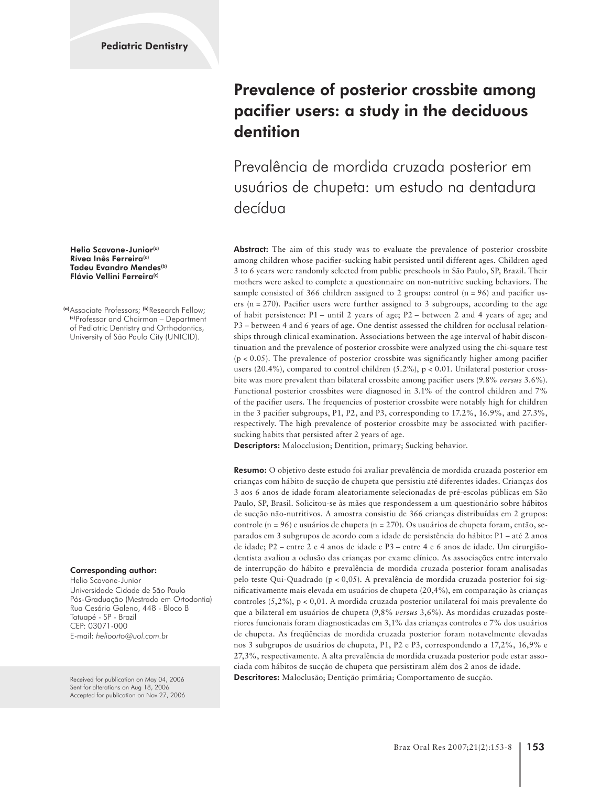Helio Scavone-Junior(a) Rívea Inês Ferreira(a) Tadeu Evandro Mendes<sup>(b)</sup> Flávio Vellini Ferreira(c)

(a)Associate Professors; (b)Research Fellow; (c)Professor and Chairman – Department of Pediatric Dentistry and Orthodontics, University of São Paulo City (UNICID).

#### Corresponding author:

Helio Scavone-Junior Universidade Cidade de São Paulo Pós-Graduação (Mestrado em Ortodontia) Rua Cesário Galeno, 448 - Bloco B Tatuapé - SP - Brazil CEP: 03071-000 E-mail: *helioorto@uol.com.br*

Received for publication on May 04, 2006 Sent for alterations on Aug 18, 2006 Accepted for publication on Nov 27, 2006

# Prevalence of posterior crossbite among pacifier users: a study in the deciduous dentition

Prevalência de mordida cruzada posterior em usuários de chupeta: um estudo na dentadura decídua

Abstract: The aim of this study was to evaluate the prevalence of posterior crossbite among children whose pacifier-sucking habit persisted until different ages. Children aged 3 to 6 years were randomly selected from public preschools in São Paulo, SP, Brazil. Their mothers were asked to complete a questionnaire on non-nutritive sucking behaviors. The sample consisted of 366 children assigned to 2 groups: control (n = 96) and pacifier users ( $n = 270$ ). Pacifier users were further assigned to 3 subgroups, according to the age of habit persistence:  $P1$  – until 2 years of age;  $P2$  – between 2 and 4 years of age; and P3 – between 4 and 6 years of age. One dentist assessed the children for occlusal relationships through clinical examination. Associations between the age interval of habit discontinuation and the prevalence of posterior crossbite were analyzed using the chi-square test  $(p < 0.05)$ . The prevalence of posterior crossbite was significantly higher among pacifier users (20.4%), compared to control children (5.2%),  $p < 0.01$ . Unilateral posterior crossbite was more prevalent than bilateral crossbite among pacifier users (9.8% *versus* 3.6%). Functional posterior crossbites were diagnosed in 3.1% of the control children and 7% of the pacifier users. The frequencies of posterior crossbite were notably high for children in the 3 pacifier subgroups, P1, P2, and P3, corresponding to 17.2%, 16.9%, and 27.3%, respectively. The high prevalence of posterior crossbite may be associated with pacifiersucking habits that persisted after 2 years of age.

Descriptors: Malocclusion; Dentition, primary; Sucking behavior.

Resumo: O objetivo deste estudo foi avaliar prevalência de mordida cruzada posterior em crianças com hábito de sucção de chupeta que persistiu até diferentes idades. Crianças dos 3 aos 6 anos de idade foram aleatoriamente selecionadas de pré-escolas públicas em São Paulo, SP, Brasil. Solicitou-se às mães que respondessem a um questionário sobre hábitos de sucção não-nutritivos. A amostra consistiu de 366 crianças distribuídas em 2 grupos: controle (n = 96) e usuários de chupeta (n = 270). Os usuários de chupeta foram, então, separados em 3 subgrupos de acordo com a idade de persistência do hábito: P1 – até 2 anos de idade; P2 – entre 2 e 4 anos de idade e P3 – entre 4 e 6 anos de idade. Um cirurgiãodentista avaliou a oclusão das crianças por exame clínico. As associações entre intervalo de interrupção do hábito e prevalência de mordida cruzada posterior foram analisadas pelo teste Qui-Quadrado (p < 0,05). A prevalência de mordida cruzada posterior foi significativamente mais elevada em usuários de chupeta (20,4%), em comparação às crianças controles (5,2%), p < 0,01. A mordida cruzada posterior unilateral foi mais prevalente do que a bilateral em usuários de chupeta (9,8% *versus* 3,6%). As mordidas cruzadas posteriores funcionais foram diagnosticadas em 3,1% das crianças controles e 7% dos usuários de chupeta. As freqüências de mordida cruzada posterior foram notavelmente elevadas nos 3 subgrupos de usuários de chupeta, P1, P2 e P3, correspondendo a 17,2%, 16,9% e 27,3%, respectivamente. A alta prevalência de mordida cruzada posterior pode estar associada com hábitos de sucção de chupeta que persistiram além dos 2 anos de idade. Descritores: Maloclusão; Dentição primária; Comportamento de sucção.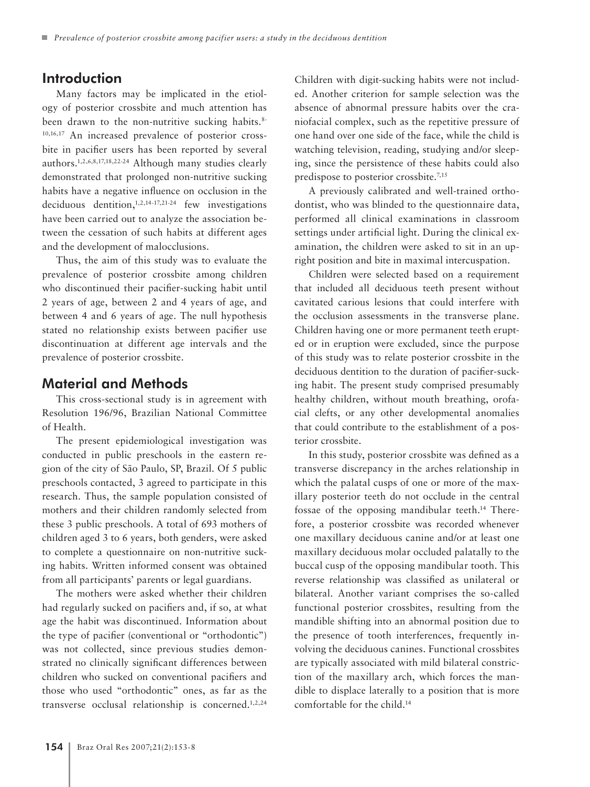# Introduction

Many factors may be implicated in the etiology of posterior crossbite and much attention has been drawn to the non-nutritive sucking habits.<sup>8-</sup> 10,16,17 An increased prevalence of posterior crossbite in pacifier users has been reported by several authors.1,2,6,8,17,18,22-24 Although many studies clearly demonstrated that prolonged non-nutritive sucking habits have a negative influence on occlusion in the deciduous dentition, $1,2,14-17,21-24$  few investigations have been carried out to analyze the association between the cessation of such habits at different ages and the development of malocclusions.

Thus, the aim of this study was to evaluate the prevalence of posterior crossbite among children who discontinued their pacifier-sucking habit until 2 years of age, between 2 and 4 years of age, and between 4 and 6 years of age. The null hypothesis stated no relationship exists between pacifier use discontinuation at different age intervals and the prevalence of posterior crossbite.

# Material and Methods

This cross-sectional study is in agreement with Resolution 196/96, Brazilian National Committee of Health.

The present epidemiological investigation was conducted in public preschools in the eastern region of the city of São Paulo, SP, Brazil. Of 5 public preschools contacted, 3 agreed to participate in this research. Thus, the sample population consisted of mothers and their children randomly selected from these 3 public preschools. A total of 693 mothers of children aged 3 to 6 years, both genders, were asked to complete a questionnaire on non-nutritive sucking habits. Written informed consent was obtained from all participants' parents or legal guardians.

The mothers were asked whether their children had regularly sucked on pacifiers and, if so, at what age the habit was discontinued. Information about the type of pacifier (conventional or "orthodontic") was not collected, since previous studies demonstrated no clinically significant differences between children who sucked on conventional pacifiers and those who used "orthodontic" ones, as far as the transverse occlusal relationship is concerned.1,2,24 Children with digit-sucking habits were not included. Another criterion for sample selection was the absence of abnormal pressure habits over the craniofacial complex, such as the repetitive pressure of one hand over one side of the face, while the child is watching television, reading, studying and/or sleeping, since the persistence of these habits could also predispose to posterior crossbite.7,15

A previously calibrated and well-trained orthodontist, who was blinded to the questionnaire data, performed all clinical examinations in classroom settings under artificial light. During the clinical examination, the children were asked to sit in an upright position and bite in maximal intercuspation.

Children were selected based on a requirement that included all deciduous teeth present without cavitated carious lesions that could interfere with the occlusion assessments in the transverse plane. Children having one or more permanent teeth erupted or in eruption were excluded, since the purpose of this study was to relate posterior crossbite in the deciduous dentition to the duration of pacifier-sucking habit. The present study comprised presumably healthy children, without mouth breathing, orofacial clefts, or any other developmental anomalies that could contribute to the establishment of a posterior crossbite.

In this study, posterior crossbite was defined as a transverse discrepancy in the arches relationship in which the palatal cusps of one or more of the maxillary posterior teeth do not occlude in the central fossae of the opposing mandibular teeth.14 Therefore, a posterior crossbite was recorded whenever one maxillary deciduous canine and/or at least one maxillary deciduous molar occluded palatally to the buccal cusp of the opposing mandibular tooth. This reverse relationship was classified as unilateral or bilateral. Another variant comprises the so-called functional posterior crossbites, resulting from the mandible shifting into an abnormal position due to the presence of tooth interferences, frequently involving the deciduous canines. Functional crossbites are typically associated with mild bilateral constriction of the maxillary arch, which forces the mandible to displace laterally to a position that is more comfortable for the child.14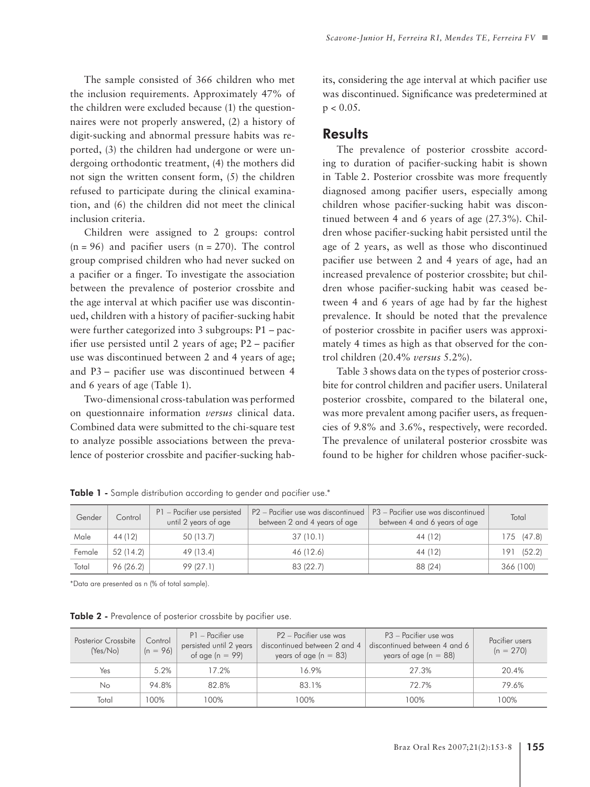The sample consisted of 366 children who met the inclusion requirements. Approximately 47% of the children were excluded because (1) the questionnaires were not properly answered, (2) a history of digit-sucking and abnormal pressure habits was reported, (3) the children had undergone or were undergoing orthodontic treatment, (4) the mothers did not sign the written consent form, (5) the children refused to participate during the clinical examination, and (6) the children did not meet the clinical inclusion criteria.

Children were assigned to 2 groups: control  $(n = 96)$  and pacifier users  $(n = 270)$ . The control group comprised children who had never sucked on a pacifier or a finger. To investigate the association between the prevalence of posterior crossbite and the age interval at which pacifier use was discontinued, children with a history of pacifier-sucking habit were further categorized into 3 subgroups: P1 – pacifier use persisted until 2 years of age; P2 – pacifier use was discontinued between 2 and 4 years of age; and P3 – pacifier use was discontinued between 4 and 6 years of age (Table 1).

Two-dimensional cross-tabulation was performed on questionnaire information *versus* clinical data. Combined data were submitted to the chi-square test to analyze possible associations between the prevalence of posterior crossbite and pacifier-sucking habits, considering the age interval at which pacifier use was discontinued. Significance was predetermined at  $p < 0.05$ .

### **Results**

The prevalence of posterior crossbite according to duration of pacifier-sucking habit is shown in Table 2. Posterior crossbite was more frequently diagnosed among pacifier users, especially among children whose pacifier-sucking habit was discontinued between 4 and 6 years of age (27.3%). Children whose pacifier-sucking habit persisted until the age of 2 years, as well as those who discontinued pacifier use between 2 and 4 years of age, had an increased prevalence of posterior crossbite; but children whose pacifier-sucking habit was ceased between 4 and 6 years of age had by far the highest prevalence. It should be noted that the prevalence of posterior crossbite in pacifier users was approximately 4 times as high as that observed for the control children (20.4% *versus* 5.2%).

Table 3 shows data on the types of posterior crossbite for control children and pacifier users. Unilateral posterior crossbite, compared to the bilateral one, was more prevalent among pacifier users, as frequencies of 9.8% and 3.6%, respectively, were recorded. The prevalence of unilateral posterior crossbite was found to be higher for children whose pacifier-suck-

| <b>able 1 -</b> Sample distribution according to gender and pacitier use." |          |                                                     |                              |                                                                                                                |               |  |
|----------------------------------------------------------------------------|----------|-----------------------------------------------------|------------------------------|----------------------------------------------------------------------------------------------------------------|---------------|--|
| Gender                                                                     | Control  | P1 - Pacifier use persisted<br>until 2 years of age | between 2 and 4 years of age | $P2$ – Pacifier use was discontinued $\mid$ P3 – Pacifier use was discontinued<br>between 4 and 6 years of age | Total         |  |
| Male                                                                       | 44 (12)  | 50 (13.7)                                           | 37(10.1)                     | 44 (12)                                                                                                        | 175 (47.8)    |  |
| Female                                                                     | 52(14.2) | 49 (13.4)                                           | 46 (12.6)                    | 44 (12)                                                                                                        | (52.2)<br>191 |  |

Total 96 (26.2) 99 (27.1) 83 (22.7) 88 (24) 366 (100)

**Table 1** - Sample distribution according to gender and pacifier use.\*

\*Data are presented as n (% of total sample).

Table 2 - Prevalence of posterior crossbite by pacifier use.

| Posterior Crossbite<br>(Yes/No) | Control<br>$(n = 96)$ | P1 - Pacifier use<br>persisted until 2 years<br>of age ( $n = 99$ ) | P2 - Pacifier use was<br>discontinued between 2 and 4<br>years of age ( $n = 83$ ) | P3 - Pacifier use was<br>discontinued between 4 and 6<br>years of age ( $n = 88$ ) | Pacifier users<br>$(n = 270)$ |
|---------------------------------|-----------------------|---------------------------------------------------------------------|------------------------------------------------------------------------------------|------------------------------------------------------------------------------------|-------------------------------|
| Yes                             | 5 2%                  | 17.2%                                                               | 16.9%                                                                              | 27.3%                                                                              | 20.4%                         |
| No.                             | 94.8%                 | 82.8%                                                               | 83.1%                                                                              | 72.7%                                                                              | 79.6%                         |
| Total                           | 100%                  | 100%                                                                | 100%                                                                               | 100%                                                                               | 100%                          |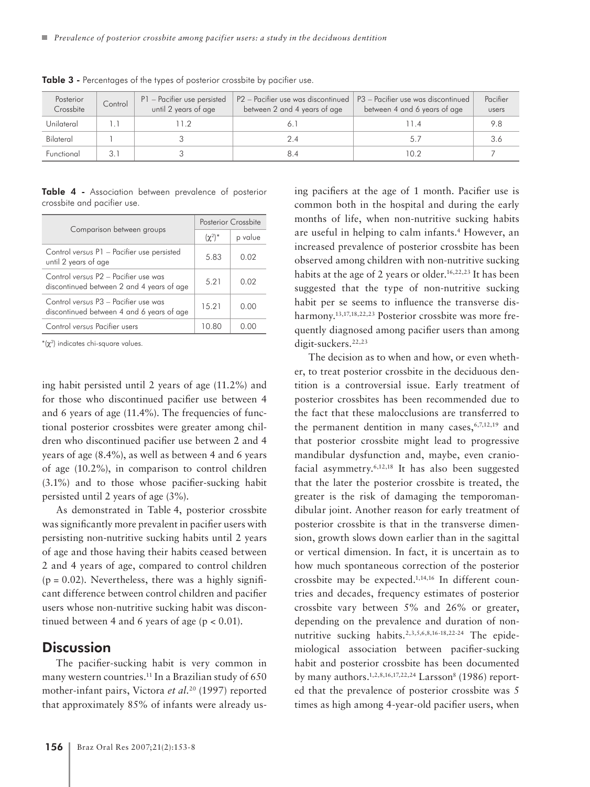| Posterior<br>Crossbite | Control | P1 – Pacifier use persisted<br>until 2 years of age | between 2 and 4 years of age | $P2$ – Pacifier use was discontinued $\mid$ P3 – Pacifier use was discontinued<br>between 4 and 6 years of age | Pacifier<br>users |
|------------------------|---------|-----------------------------------------------------|------------------------------|----------------------------------------------------------------------------------------------------------------|-------------------|
| Unilateral             |         |                                                     |                              |                                                                                                                |                   |
| Bilateral              |         |                                                     |                              |                                                                                                                |                   |
| Functional             |         |                                                     |                              | 10 2                                                                                                           |                   |

Table 3 - Percentages of the types of posterior crossbite by pacifier use.

Table 4 - Association between prevalence of posterior crossbite and pacifier use.

|                                                                                   | Posterior Crossbite |         |
|-----------------------------------------------------------------------------------|---------------------|---------|
| Comparison between groups                                                         | $(\chi^2)^*$        | p value |
| Control versus P1 - Pacifier use persisted<br>until 2 years of age                | 5.83                | 0.02    |
| Control versus P2 - Pacifier use was<br>discontinued between 2 and 4 years of age | 521                 | O 02    |
| Control versus P3 - Pacifier use was<br>discontinued between 4 and 6 years of age | 15.21               | 0.OO    |
| Control versus Pacifier users                                                     | 10.80               | 0.00    |

 $*(\chi^2)$  indicates chi-square values.

ing habit persisted until 2 years of age (11.2%) and for those who discontinued pacifier use between 4 and 6 years of age (11.4%). The frequencies of functional posterior crossbites were greater among children who discontinued pacifier use between 2 and 4 years of age (8.4%), as well as between 4 and 6 years of age (10.2%), in comparison to control children (3.1%) and to those whose pacifier-sucking habit persisted until 2 years of age (3%).

As demonstrated in Table 4, posterior crossbite was significantly more prevalent in pacifier users with persisting non-nutritive sucking habits until 2 years of age and those having their habits ceased between 2 and 4 years of age, compared to control children  $(p = 0.02)$ . Nevertheless, there was a highly significant difference between control children and pacifier users whose non-nutritive sucking habit was discontinued between 4 and 6 years of age ( $p < 0.01$ ).

# **Discussion**

The pacifier-sucking habit is very common in many western countries.<sup>11</sup> In a Brazilian study of 650 mother-infant pairs, Victora *et al*. 20 (1997) reported that approximately 85% of infants were already using pacifiers at the age of 1 month. Pacifier use is common both in the hospital and during the early months of life, when non-nutritive sucking habits are useful in helping to calm infants.<sup>4</sup> However, an increased prevalence of posterior crossbite has been observed among children with non-nutritive sucking habits at the age of 2 years or older.<sup>16,22,23</sup> It has been suggested that the type of non-nutritive sucking habit per se seems to influence the transverse disharmony.13,17,18,22,23 Posterior crossbite was more frequently diagnosed among pacifier users than among digit-suckers.<sup>22,23</sup>

The decision as to when and how, or even whether, to treat posterior crossbite in the deciduous dentition is a controversial issue. Early treatment of posterior crossbites has been recommended due to the fact that these malocclusions are transferred to the permanent dentition in many cases,  $6,7,12,19$  and that posterior crossbite might lead to progressive mandibular dysfunction and, maybe, even craniofacial asymmetry.6,12,18 It has also been suggested that the later the posterior crossbite is treated, the greater is the risk of damaging the temporomandibular joint. Another reason for early treatment of posterior crossbite is that in the transverse dimension, growth slows down earlier than in the sagittal or vertical dimension. In fact, it is uncertain as to how much spontaneous correction of the posterior crossbite may be expected.1,14,16 In different countries and decades, frequency estimates of posterior crossbite vary between 5% and 26% or greater, depending on the prevalence and duration of nonnutritive sucking habits.2,3,5,6,8,16-18,22-24 The epidemiological association between pacifier-sucking habit and posterior crossbite has been documented by many authors.<sup>1,2,8,16,17,22,24</sup> Larsson<sup>8</sup> (1986) reported that the prevalence of posterior crossbite was 5 times as high among 4-year-old pacifier users, when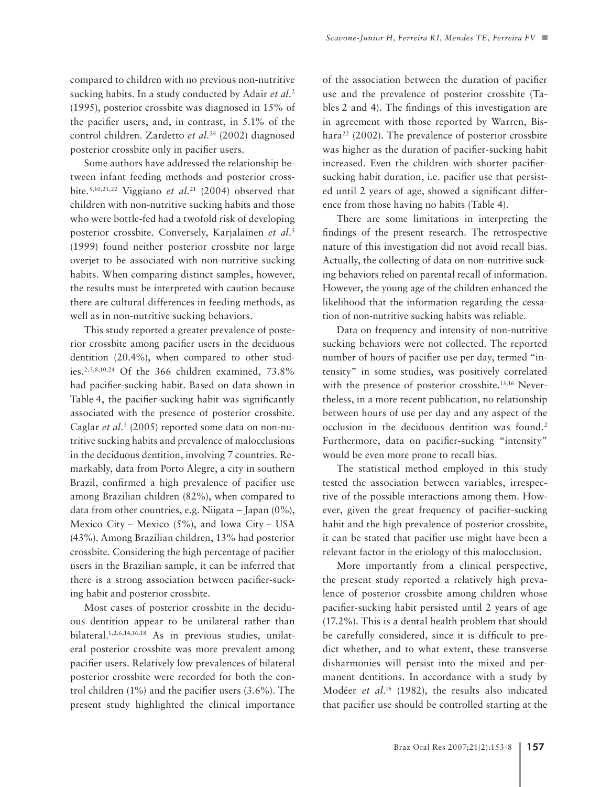compared to children with no previous non-nutritive sucking habits. In a study conducted by Adair *et al*. 2 (1995), posterior crossbite was diagnosed in 15% of the pacifier users, and, in contrast, in 5.1% of the control children. Zardetto *et al*. 24 (2002) diagnosed posterior crossbite only in pacifier users.

Some authors have addressed the relationship between infant feeding methods and posterior crossbite.5,10,21,22 Viggiano *et al*. 21 (2004) observed that children with non-nutritive sucking habits and those who were bottle-fed had a twofold risk of developing posterior crossbite. Conversely, Karjalainen *et al*. 5 (1999) found neither posterior crossbite nor large overjet to be associated with non-nutritive sucking habits. When comparing distinct samples, however, the results must be interpreted with caution because there are cultural differences in feeding methods, as well as in non-nutritive sucking behaviors.

This study reported a greater prevalence of posterior crossbite among pacifier users in the deciduous dentition (20.4%), when compared to other studies.2,3,8,10,24 Of the 366 children examined, 73.8% had pacifier-sucking habit. Based on data shown in Table 4, the pacifier-sucking habit was significantly associated with the presence of posterior crossbite. Caglar *et al*. 3 (2005) reported some data on non-nutritive sucking habits and prevalence of malocclusions in the deciduous dentition, involving 7 countries. Remarkably, data from Porto Alegre, a city in southern Brazil, confirmed a high prevalence of pacifier use among Brazilian children (82%), when compared to data from other countries, e.g. Niigata – Japan (0%), Mexico City – Mexico (5%), and Iowa City – USA (43%). Among Brazilian children, 13% had posterior crossbite. Considering the high percentage of pacifier users in the Brazilian sample, it can be inferred that there is a strong association between pacifier-sucking habit and posterior crossbite.

Most cases of posterior crossbite in the deciduous dentition appear to be unilateral rather than bilateral.1,2,6,14,16,18 As in previous studies, unilateral posterior crossbite was more prevalent among pacifier users. Relatively low prevalences of bilateral posterior crossbite were recorded for both the control children (1%) and the pacifier users (3.6%). The present study highlighted the clinical importance of the association between the duration of pacifier use and the prevalence of posterior crossbite (Tables 2 and 4). The findings of this investigation are in agreement with those reported by Warren, Bishara<sup>22</sup> (2002). The prevalence of posterior crossbite was higher as the duration of pacifier-sucking habit increased. Even the children with shorter pacifiersucking habit duration, i.e. pacifier use that persisted until 2 years of age, showed a significant difference from those having no habits (Table 4).

There are some limitations in interpreting the findings of the present research. The retrospective nature of this investigation did not avoid recall bias. Actually, the collecting of data on non-nutritive sucking behaviors relied on parental recall of information. However, the young age of the children enhanced the likelihood that the information regarding the cessation of non-nutritive sucking habits was reliable.

Data on frequency and intensity of non-nutritive sucking behaviors were not collected. The reported number of hours of pacifier use per day, termed "intensity" in some studies, was positively correlated with the presence of posterior crossbite.<sup>13,16</sup> Nevertheless, in a more recent publication, no relationship between hours of use per day and any aspect of the occlusion in the deciduous dentition was found.<sup>2</sup> Furthermore, data on pacifier-sucking "intensity" would be even more prone to recall bias.

The statistical method employed in this study tested the association between variables, irrespective of the possible interactions among them. However, given the great frequency of pacifier-sucking habit and the high prevalence of posterior crossbite, it can be stated that pacifier use might have been a relevant factor in the etiology of this malocclusion.

More importantly from a clinical perspective, the present study reported a relatively high prevalence of posterior crossbite among children whose pacifier-sucking habit persisted until 2 years of age (17.2%). This is a dental health problem that should be carefully considered, since it is difficult to predict whether, and to what extent, these transverse disharmonies will persist into the mixed and permanent dentitions. In accordance with a study by Modéer *et al*. 16 (1982), the results also indicated that pacifier use should be controlled starting at the